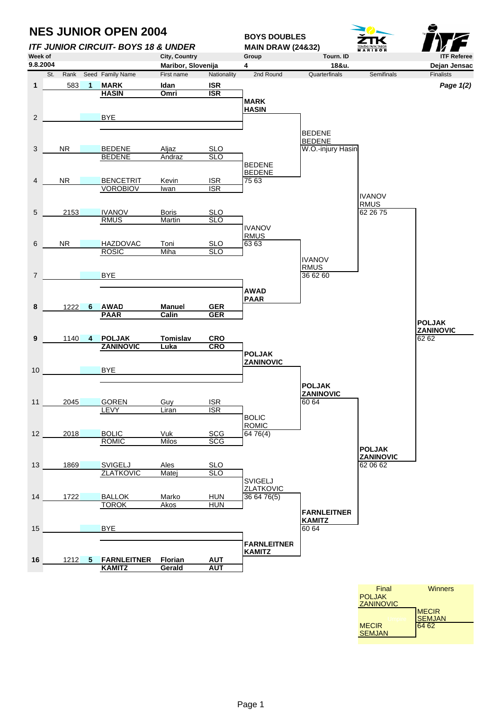